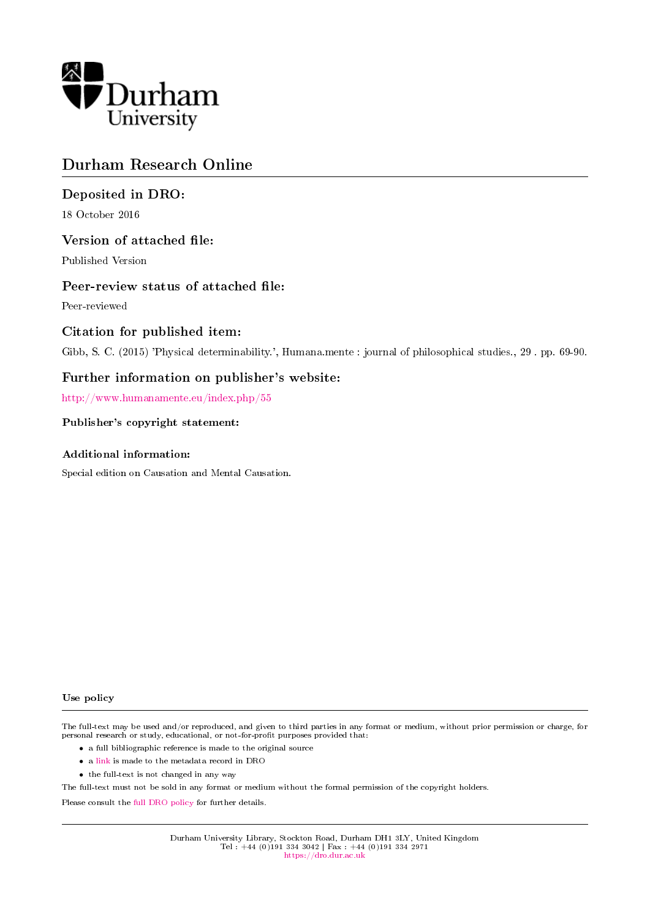

# Durham Research Online

# Deposited in DRO:

18 October 2016

# Version of attached file:

Published Version

## Peer-review status of attached file:

Peer-reviewed

## Citation for published item:

Gibb, S. C. (2015) 'Physical determinability.', Humana.mente : journal of philosophical studies., 29 . pp. 69-90.

# Further information on publisher's website:

<http://www.humanamente.eu/index.php/55>

## Publisher's copyright statement:

## Additional information:

Special edition on Causation and Mental Causation.

#### Use policy

The full-text may be used and/or reproduced, and given to third parties in any format or medium, without prior permission or charge, for personal research or study, educational, or not-for-profit purposes provided that:

- a full bibliographic reference is made to the original source
- a [link](http://dro.dur.ac.uk/15634/) is made to the metadata record in DRO
- the full-text is not changed in any way

The full-text must not be sold in any format or medium without the formal permission of the copyright holders.

Please consult the [full DRO policy](https://dro.dur.ac.uk/policies/usepolicy.pdf) for further details.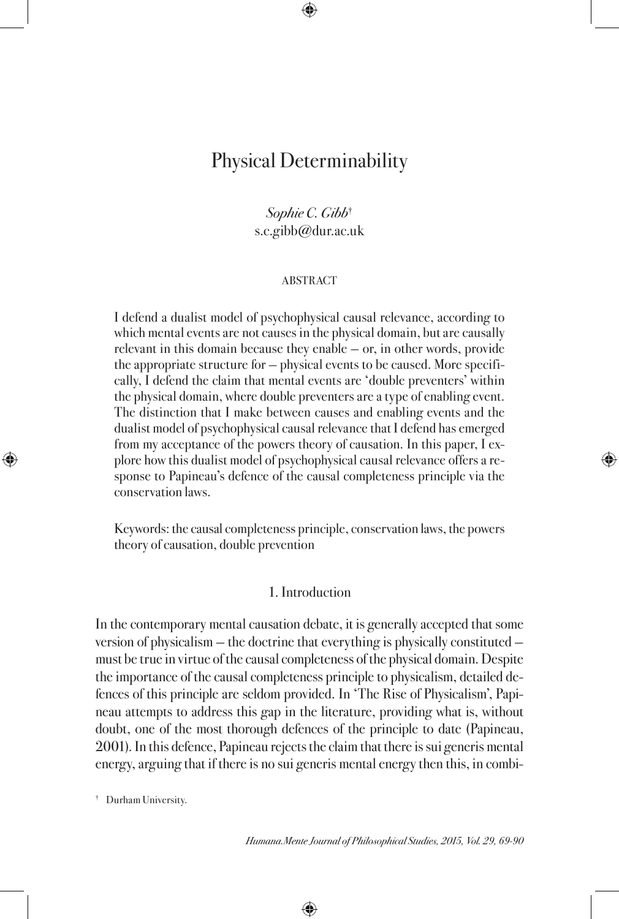# Physical Determinability

## Sophie C. Gibb† s.c.gibb@dur.ac.uk

#### **ABSTRACT**

I defend a dualist model of psychophysical causal relevance, according to which mental events are not causes in the physical domain, but are causally relevant in this domain because they enable — or, in other words, provide the appropriate structure for — physical events to be caused. More specifically, I defend the claim that mental events are 'double preventers' within the physical domain, where double preventers are a type of enabling event. The distinction that I make between causes and enabling events and the dualist model of psychophysical causal relevance that I defend has emerged from my acceptance of the powers theory of causation. In this paper, I explore how this dualist model of psychophysical causal relevance offers a response to Papineau's defence of the causal completeness principle via the conservation laws.

Keywords: the causal completeness principle, conservation laws, the powers theory of causation, double prevention

## 1. Introduction

In the contemporary mental causation debate, it is generally accepted that some version of physicalism — the doctrine that everything is physically constituted must be true in virtue of the causal completeness of the physical domain. Despite the importance of the causal completeness principle to physicalism, detailed defences of this principle are seldom provided. In 'The Rise of Physicalism', Papineau attempts to address this gap in the literature, providing what is, without doubt, one of the most thorough defences of the principle to date (Papineau, 2001). In this defence, Papineau rejects the claim that there is sui generis mental energy, arguing that if there is no sui generis mental energy then this, in combi-

† Durham University.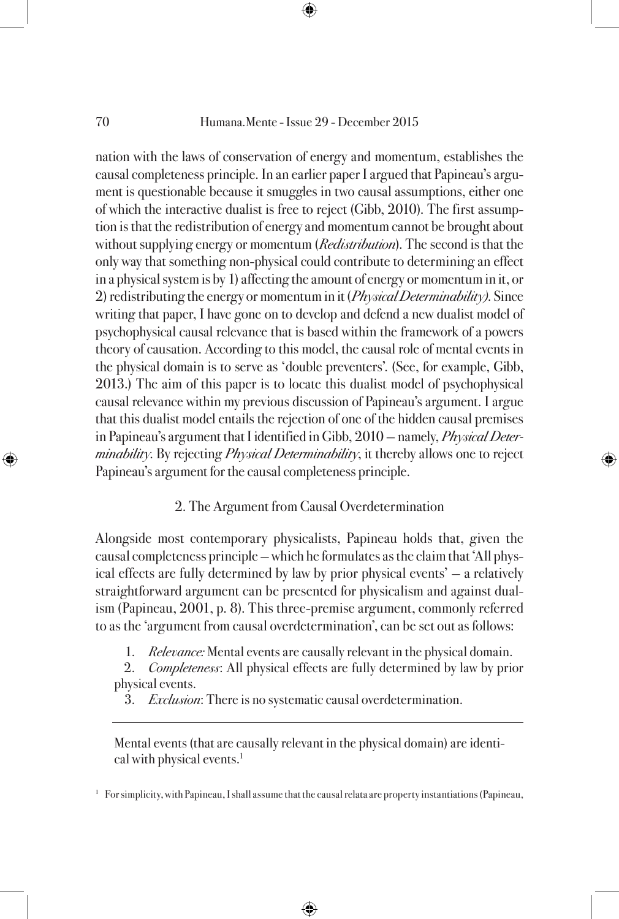nation with the laws of conservation of energy and momentum, establishes the causal completeness principle. In an earlier paper I argued that Papineau's argument is questionable because it smuggles in two causal assumptions, either one of which the interactive dualist is free to reject (Gibb, 2010). The first assumption is that the redistribution of energy and momentum cannot be brought about without supplying energy or momentum (*Redistribution*). The second is that the only way that something non-physical could contribute to determining an effect in a physical system is by 1) affecting the amount of energy or momentum in it, or 2) redistributing the energy or momentum in it (*Physical Determinability*). Since writing that paper, I have gone on to develop and defend a new dualist model of psychophysical causal relevance that is based within the framework of a powers theory of causation. According to this model, the causal role of mental events in the physical domain is to serve as 'double preventers'. (See, for example, Gibb, 2013.) The aim of this paper is to locate this dualist model of psychophysical causal relevance within my previous discussion of Papineau's argument. I argue that this dualist model entails the rejection of one of the hidden causal premises in Papineau's argument that I identified in Gibb, 2010 - namely, Physical Deter*minability*. By rejecting *Physical Determinability*, it thereby allows one to reject Papineau's argument for the causal completeness principle.

## 2. The Argument from Causal Overdetermination

Alongside most contemporary physicalists, Papineau holds that, given the causal completeness principle — which he formulates as the claim that 'All physical effects are fully determined by law by prior physical events' — a relatively straightforward argument can be presented for physicalism and against dualism (Papineau, 2001, p. 8). This three-premise argument, commonly referred to as the 'argument from causal overdetermination', can be set out as follows:

1. *Relevance:* Mental events are causally relevant in the physical domain.

2. Completeness: All physical effects are fully determined by law by prior physical events.

3. *Exclusion*: There is no systematic causal overdetermination.

Mental events (that are causally relevant in the physical domain) are identical with physical events.<sup>1</sup>

<sup>1</sup> For simplicity, with Papineau, I shall assume that the causal relata are property instantiations (Papineau,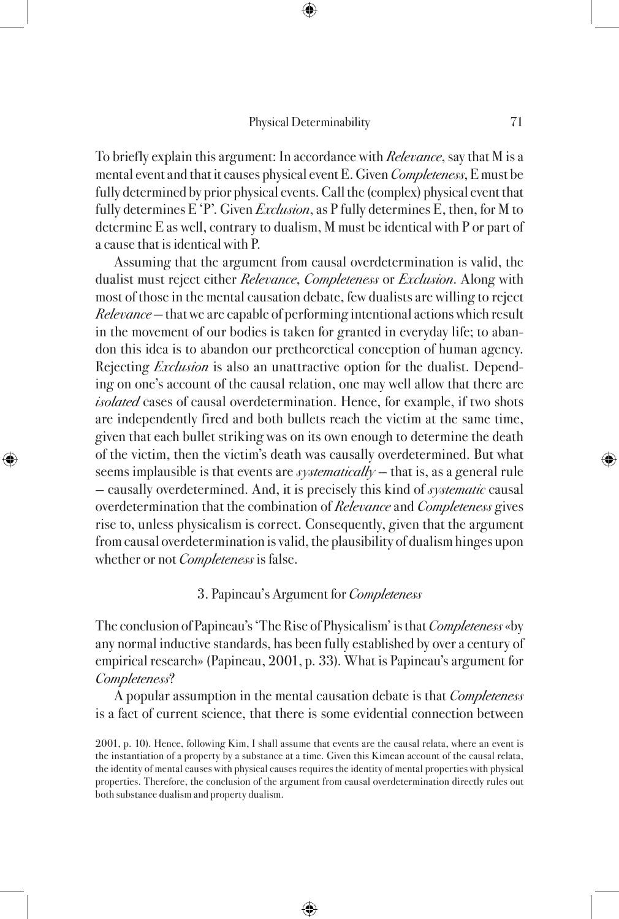To briefly explain this argument: In accordance with Relevance, say that M is a mental event and that it causes physical event E. Given *Completeness*, E must be fully determined by prior physical events. Call the (complex) physical event that fully determines E 'P'. Given *Exclusion*, as P fully determines E, then, for M to determine E as well, contrary to dualism, M must be identical with P or part of a cause that is identical with P.

Assuming that the argument from causal overdetermination is valid, the dualist must reject either Relevance, Completeness or Exclusion. Along with most of those in the mental causation debate, few dualists are willing to reject Relevance — that we are capable of performing intentional actions which result in the movement of our bodies is taken for granted in everyday life; to abandon this idea is to abandon our pretheoretical conception of human agency. Rejecting *Exclusion* is also an unattractive option for the dualist. Depending on one's account of the causal relation, one may well allow that there are isolated cases of causal overdetermination. Hence, for example, if two shots are independently fired and both bullets reach the victim at the same time, given that each bullet striking was on its own enough to determine the death of the victim, then the victim's death was causally overdetermined. But what seems implausible is that events are *systematically* - that is, as a general rule — causally overdetermined. And, it is precisely this kind of *systematic* causal overdetermination that the combination of Relevance and Completeness gives rise to, unless physicalism is correct. Consequently, given that the argument from causal overdetermination is valid, the plausibility of dualism hinges upon whether or not *Completeness* is false.

## 3. Papineau's Argument for Completeness

The conclusion of Papineau's 'The Rise of Physicalism' is that *Completeness* «by any normal inductive standards, has been fully established by over a century of empirical research» (Papineau, 2001, p. 33). What is Papineau's argument for Completeness?

A popular assumption in the mental causation debate is that Completeness is a fact of current science, that there is some evidential connection between

<sup>2001,</sup> p. 10). Hence, following Kim, I shall assume that events are the causal relata, where an event is the instantiation of a property by a substance at a time. Given this Kimean account of the causal relata, the identity of mental causes with physical causes requires the identity of mental properties with physical properties. Therefore, the conclusion of the argument from causal overdetermination directly rules out both substance dualism and property dualism.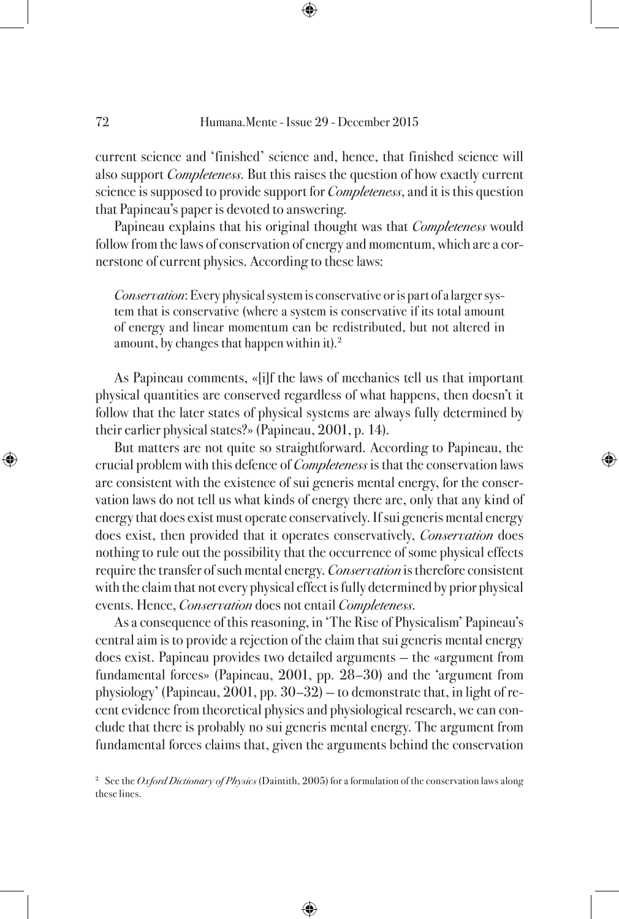current science and 'finished' science and, hence, that finished science will also support *Completeness*. But this raises the question of how exactly current science is supposed to provide support for *Completeness*, and it is this question that Papineau's paper is devoted to answering.

Papineau explains that his original thought was that *Completeness* would follow from the laws of conservation of energy and momentum, which are a cornerstone of current physics. According to these laws:

Conservation: Every physical system is conservative or is part of a larger system that is conservative (where a system is conservative if its total amount of energy and linear momentum can be redistributed, but not altered in amount, by changes that happen within it).<sup>2</sup>

As Papineau comments, «[i]f the laws of mechanics tell us that important physical quantities are conserved regardless of what happens, then doesn't it follow that the later states of physical systems are always fully determined by their earlier physical states?» (Papineau, 2001, p. 14).

But matters are not quite so straightforward. According to Papineau, the crucial problem with this defence of Completeness is that the conservation laws are consistent with the existence of sui generis mental energy, for the conservation laws do not tell us what kinds of energy there are, only that any kind of energy that does exist must operate conservatively. If sui generis mental energy does exist, then provided that it operates conservatively, *Conservation* does nothing to rule out the possibility that the occurrence of some physical effects require the transfer of such mental energy. *Conservation* is therefore consistent with the claim that not every physical effect is fully determined by prior physical events. Hence, Conservation does not entail Completeness.

As a consequence of this reasoning, in 'The Rise of Physicalism' Papineau's central aim is to provide a rejection of the claim that sui generis mental energy does exist. Papineau provides two detailed arguments — the «argument from fundamental forces» (Papineau, 2001, pp. 28–30) and the 'argument from physiology' (Papineau, 2001, pp. 30–32) — to demonstrate that, in light of recent evidence from theoretical physics and physiological research, we can conclude that there is probably no sui generis mental energy. The argument from fundamental forces claims that, given the arguments behind the conservation

<sup>2</sup> See the *Oxford Dictionary of Physics* (Daintith, 2005) for a formulation of the conservation laws along these lines.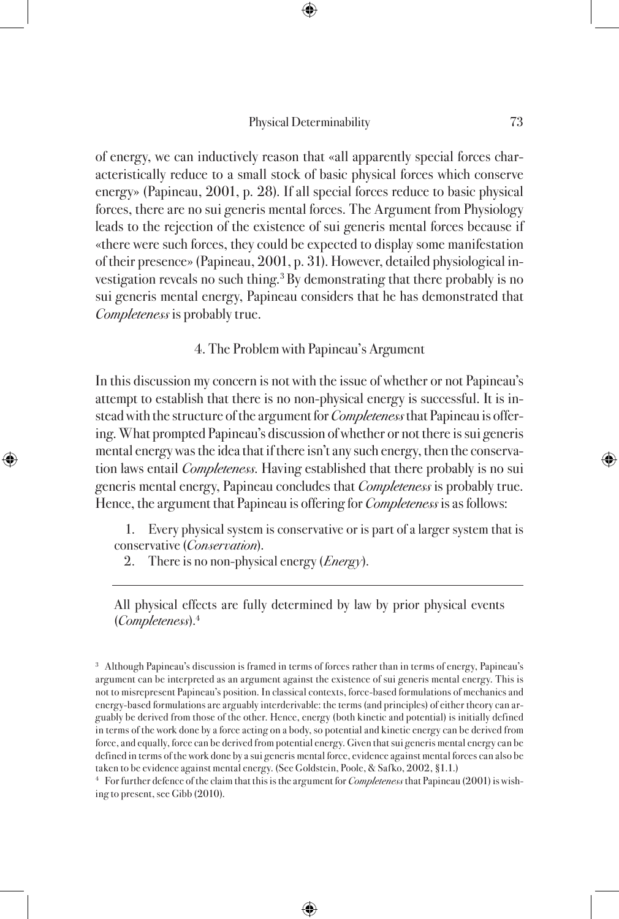of energy, we can inductively reason that «all apparently special forces characteristically reduce to a small stock of basic physical forces which conserve energy» (Papineau, 2001, p. 28). If all special forces reduce to basic physical forces, there are no sui generis mental forces. The Argument from Physiology leads to the rejection of the existence of sui generis mental forces because if «there were such forces, they could be expected to display some manifestation of their presence» (Papineau, 2001, p. 31). However, detailed physiological investigation reveals no such thing.<sup>3</sup> By demonstrating that there probably is no sui generis mental energy, Papineau considers that he has demonstrated that Completeness is probably true.

4. The Problem with Papineau's Argument

In this discussion my concern is not with the issue of whether or not Papineau's attempt to establish that there is no non-physical energy is successful. It is instead with the structure of the argument for *Completeness* that Papineau is offering. What prompted Papineau's discussion of whether or not there is sui generis mental energy was the idea that if there isn't any such energy, then the conservation laws entail Completeness. Having established that there probably is no sui generis mental energy, Papineau concludes that *Completeness* is probably true. Hence, the argument that Papineau is offering for *Completeness* is as follows:

1. Every physical system is conservative or is part of a larger system that is conservative (Conservation).

2. There is no non-physical energy  $(Energy)$ .

All physical effects are fully determined by law by prior physical events (Completeness).4

<sup>3</sup> Although Papineau's discussion is framed in terms of forces rather than in terms of energy, Papineau's argument can be interpreted as an argument against the existence of sui generis mental energy. This is not to misrepresent Papineau's position. In classical contexts, force-based formulations of mechanics and energy-based formulations are arguably interderivable: the terms (and principles) of either theory can arguably be derived from those of the other. Hence, energy (both kinetic and potential) is initially defined in terms of the work done by a force acting on a body, so potential and kinetic energy can be derived from force, and equally, force can be derived from potential energy. Given that sui generis mental energy can be defined in terms of the work done by a sui generis mental force, evidence against mental forces can also be taken to be evidence against mental energy. (See Goldstein, Poole, & Safko, 2002, §1.1.)

<sup>4</sup> For further defence of the claim that this is the argument for *Completeness* that Papineau (2001) is wishing to present, see Gibb (2010).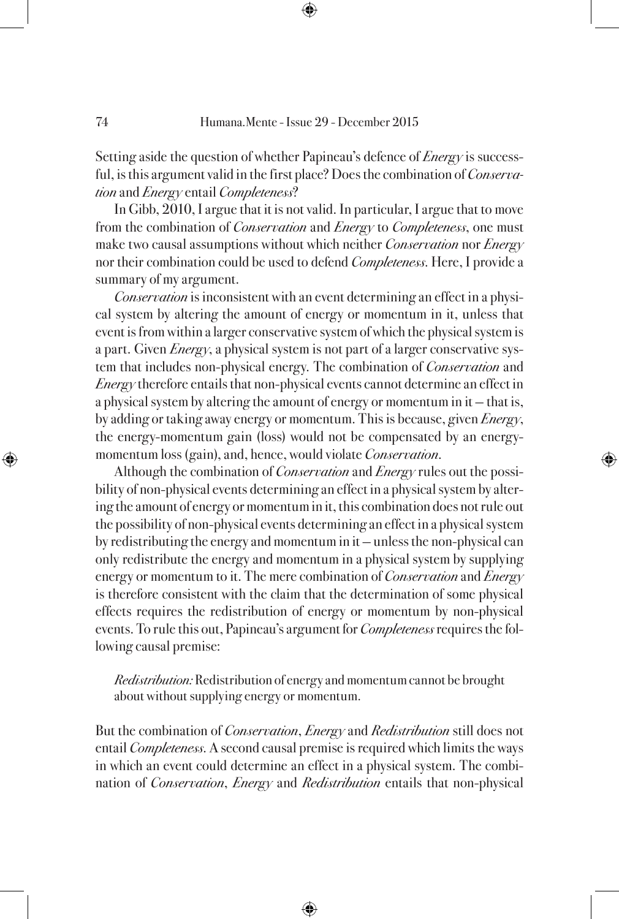Setting aside the question of whether Papineau's defence of *Energy* is successful, is this argument valid in the first place? Does the combination of *Conserva*tion and *Energy* entail *Completeness*?

In Gibb, 2010, I argue that it is not valid. In particular, I argue that to move from the combination of *Conservation* and *Energy* to *Completeness*, one must make two causal assumptions without which neither *Conservation* nor *Energy* nor their combination could be used to defend *Completeness*. Here, I provide a summary of my argument.

Conservation is inconsistent with an event determining an effect in a physical system by altering the amount of energy or momentum in it, unless that event is from within a larger conservative system of which the physical system is a part. Given *Energy*, a physical system is not part of a larger conservative system that includes non-physical energy. The combination of *Conservation* and Energy therefore entails that non-physical events cannot determine an effect in a physical system by altering the amount of energy or momentum in it — that is, by adding or taking away energy or momentum. This is because, given  $Energy$ , the energy-momentum gain (loss) would not be compensated by an energymomentum loss (gain), and, hence, would violate Conservation.

Although the combination of *Conservation* and *Energy* rules out the possibility of non-physical events determining an effect in a physical system by altering the amount of energy or momentum in it, this combination does not rule out the possibility of non-physical events determining an effect in a physical system by redistributing the energy and momentum in it — unless the non-physical can only redistribute the energy and momentum in a physical system by supplying energy or momentum to it. The mere combination of *Conservation* and *Energy* is therefore consistent with the claim that the determination of some physical effects requires the redistribution of energy or momentum by non-physical events. To rule this out, Papineau's argument for *Completeness* requires the following causal premise:

Redistribution: Redistribution of energy and momentum cannot be brought about without supplying energy or momentum.

But the combination of *Conservation, Energy* and *Redistribution* still does not entail Completeness. A second causal premise is required which limits the ways in which an event could determine an effect in a physical system. The combination of *Conservation, Energy* and *Redistribution* entails that non-physical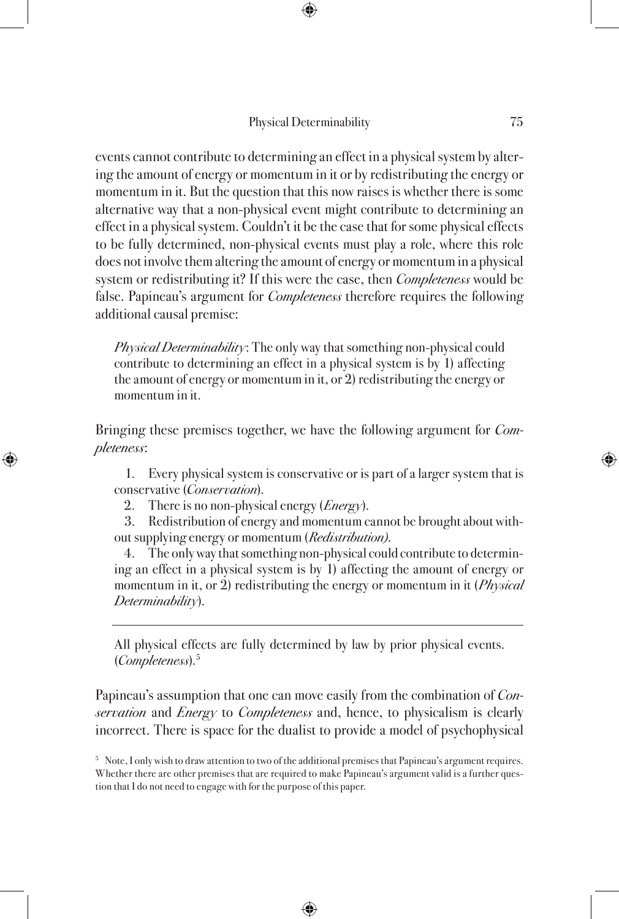events cannot contribute to determining an effect in a physical system by altering the amount of energy or momentum in it or by redistributing the energy or momentum in it. But the question that this now raises is whether there is some alternative way that a non-physical event might contribute to determining an effect in a physical system. Couldn't it be the case that for some physical effects to be fully determined, non-physical events must play a role, where this role does not involve them altering the amount of energy or momentum in a physical system or redistributing it? If this were the case, then *Completeness* would be false. Papineau's argument for *Completeness* therefore requires the following additional causal premise:

Physical Determinability: The only way that something non-physical could contribute to determining an effect in a physical system is by 1) affecting the amount of energy or momentum in it, or 2) redistributing the energy or momentum in it.

Bringing these premises together, we have the following argument for *Com*pleteness:

1. Every physical system is conservative or is part of a larger system that is conservative (Conservation).

2. There is no non-physical energy  $(Energy)$ .

3. Redistribution of energy and momentum cannot be brought about without supplying energy or momentum (Redistribution).

4. The only way that something non-physical could contribute to determining an effect in a physical system is by 1) affecting the amount of energy or momentum in it, or 2) redistributing the energy or momentum in it  $(Physical)$ Determinability).

All physical effects are fully determined by law by prior physical events. (Completeness).5

Papineau's assumption that one can move easily from the combination of *Con*servation and *Energy* to *Completeness* and, hence, to physicalism is clearly incorrect. There is space for the dualist to provide a model of psychophysical

<sup>&</sup>lt;sup>5</sup> Note, I only wish to draw attention to two of the additional premises that Papineau's argument requires. Whether there are other premises that are required to make Papineau's argument valid is a further question that I do not need to engage with for the purpose of this paper.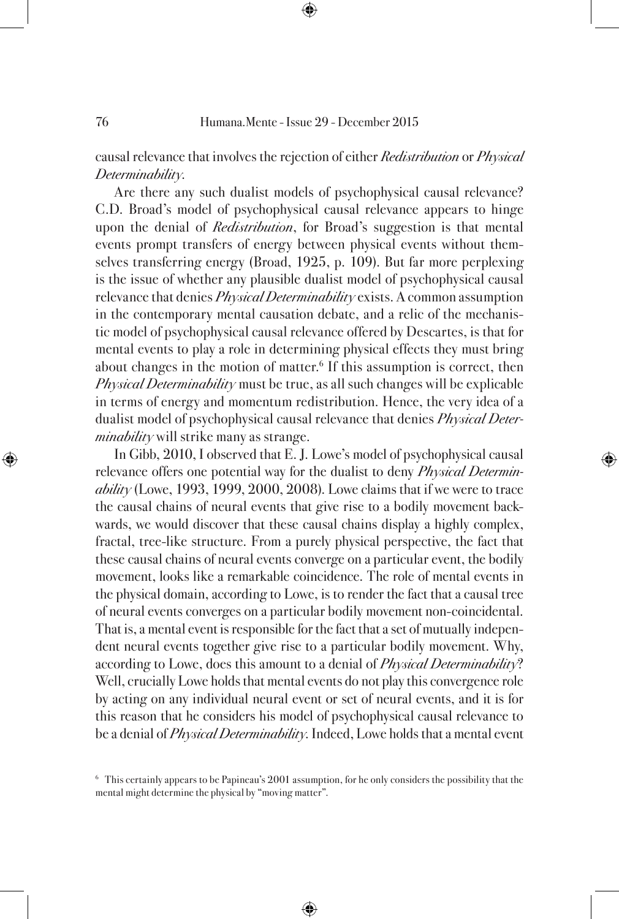causal relevance that involves the rejection of either Redistribution or Physical Determinability.

Are there any such dualist models of psychophysical causal relevance? C.D. Broad's model of psychophysical causal relevance appears to hinge upon the denial of *Redistribution*, for Broad's suggestion is that mental events prompt transfers of energy between physical events without themselves transferring energy (Broad, 1925, p. 109). But far more perplexing is the issue of whether any plausible dualist model of psychophysical causal relevance that denies *Physical Determinability* exists. A common assumption in the contemporary mental causation debate, and a relic of the mechanistic model of psychophysical causal relevance offered by Descartes, is that for mental events to play a role in determining physical effects they must bring about changes in the motion of matter.<sup>6</sup> If this assumption is correct, then Physical Determinability must be true, as all such changes will be explicable in terms of energy and momentum redistribution. Hence, the very idea of a dualist model of psychophysical causal relevance that denies *Physical Deter* $minability$  will strike many as strange.

In Gibb, 2010, I observed that E. J. Lowe's model of psychophysical causal relevance offers one potential way for the dualist to deny *Physical Determin* $ability$  (Lowe, 1993, 1999, 2000, 2008). Lowe claims that if we were to trace the causal chains of neural events that give rise to a bodily movement backwards, we would discover that these causal chains display a highly complex, fractal, tree-like structure. From a purely physical perspective, the fact that these causal chains of neural events converge on a particular event, the bodily movement, looks like a remarkable coincidence. The role of mental events in the physical domain, according to Lowe, is to render the fact that a causal tree of neural events converges on a particular bodily movement non-coincidental. That is, a mental event is responsible for the fact that a set of mutually independent neural events together give rise to a particular bodily movement. Why, according to Lowe, does this amount to a denial of *Physical Determinability*? Well, crucially Lowe holds that mental events do not play this convergence role by acting on any individual neural event or set of neural events, and it is for this reason that he considers his model of psychophysical causal relevance to be a denial of *Physical Determinability*. Indeed, Lowe holds that a mental event

<sup>6</sup> This certainly appears to be Papineau's 2001 assumption, for he only considers the possibility that the mental might determine the physical by "moving matter".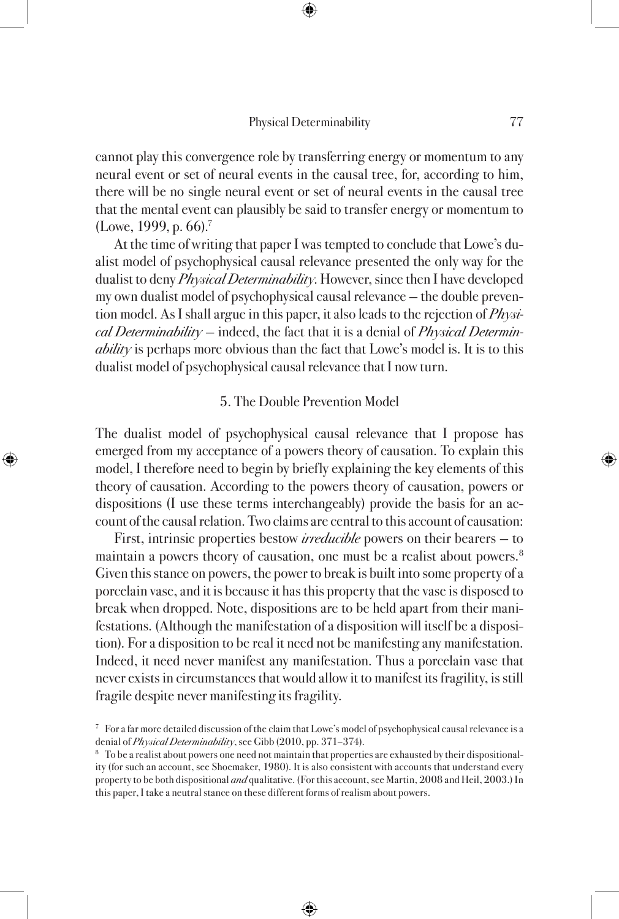cannot play this convergence role by transferring energy or momentum to any neural event or set of neural events in the causal tree, for, according to him, there will be no single neural event or set of neural events in the causal tree that the mental event can plausibly be said to transfer energy or momentum to (Lowe, 1999, p. 66).<sup>7</sup>

At the time of writing that paper I was tempted to conclude that Lowe's dualist model of psychophysical causal relevance presented the only way for the dualist to deny *Physical Determinability*. However, since then I have developed my own dualist model of psychophysical causal relevance — the double prevention model. As I shall argue in this paper, it also leads to the rejection of Physi $cal$  Determinability – indeed, the fact that it is a denial of Physical Determin*ability* is perhaps more obvious than the fact that Lowe's model is. It is to this dualist model of psychophysical causal relevance that I now turn.

## 5. The Double Prevention Model

The dualist model of psychophysical causal relevance that I propose has emerged from my acceptance of a powers theory of causation. To explain this model, I therefore need to begin by briefly explaining the key elements of this theory of causation. According to the powers theory of causation, powers or dispositions (I use these terms interchangeably) provide the basis for an account of the causal relation. Two claims are central to this account of causation:

First, intrinsic properties bestow *irreducible* powers on their bearers – to maintain a powers theory of causation, one must be a realist about powers.<sup>8</sup> Given this stance on powers, the power to break is built into some property of a porcelain vase, and it is because it has this property that the vase is disposed to break when dropped. Note, dispositions are to be held apart from their manifestations. (Although the manifestation of a disposition will itself be a disposition). For a disposition to be real it need not be manifesting any manifestation. Indeed, it need never manifest any manifestation. Thus a porcelain vase that never exists in circumstances that would allow it to manifest its fragility, is still fragile despite never manifesting its fragility.

<sup>7</sup> For a far more detailed discussion of the claim that Lowe's model of psychophysical causal relevance is a denial of Physical Determinability, see Gibb (2010, pp. 371-374).

<sup>&</sup>lt;sup>8</sup> To be a realist about powers one need not maintain that properties are exhausted by their dispositionality (for such an account, see Shoemaker, 1980). It is also consistent with accounts that understand every property to be both dispositional *and* qualitative. (For this account, see Martin, 2008 and Heil, 2003.) In this paper, I take a neutral stance on these different forms of realism about powers.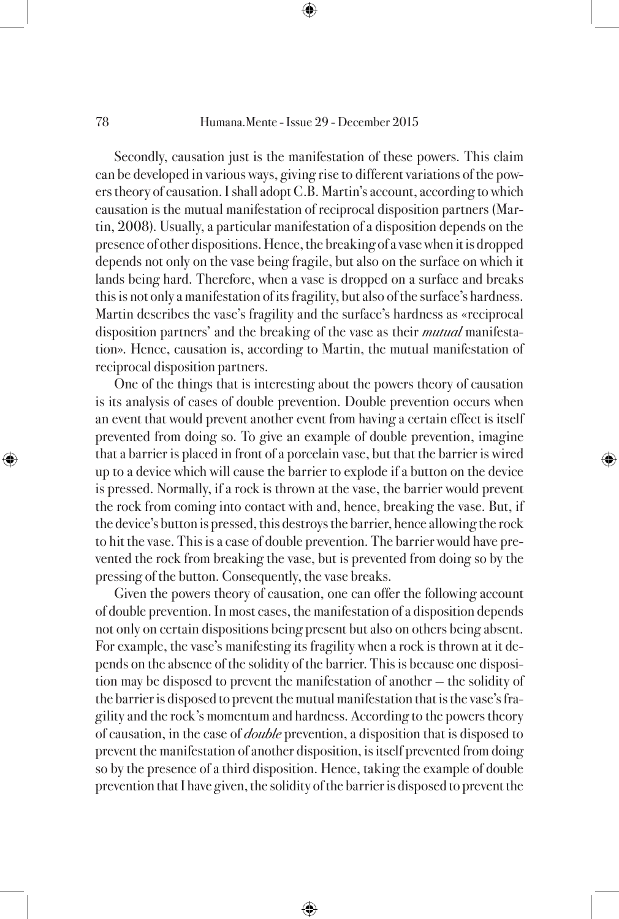Secondly, causation just is the manifestation of these powers. This claim can be developed in various ways, giving rise to different variations of the powers theory of causation. I shall adopt C.B. Martin's account, according to which causation is the mutual manifestation of reciprocal disposition partners (Martin, 2008). Usually, a particular manifestation of a disposition depends on the presence of other dispositions. Hence, the breaking of a vase when it is dropped depends not only on the vase being fragile, but also on the surface on which it lands being hard. Therefore, when a vase is dropped on a surface and breaks this is not only a manifestation of its fragility, but also of the surface's hardness. Martin describes the vase's fragility and the surface's hardness as «reciprocal disposition partners' and the breaking of the vase as their *mutual* manifestation». Hence, causation is, according to Martin, the mutual manifestation of reciprocal disposition partners.

One of the things that is interesting about the powers theory of causation is its analysis of cases of double prevention. Double prevention occurs when an event that would prevent another event from having a certain effect is itself prevented from doing so. To give an example of double prevention, imagine that a barrier is placed in front of a porcelain vase, but that the barrier is wired up to a device which will cause the barrier to explode if a button on the device is pressed. Normally, if a rock is thrown at the vase, the barrier would prevent the rock from coming into contact with and, hence, breaking the vase. But, if the device's button is pressed, this destroys the barrier, hence allowing the rock to hit the vase. This is a case of double prevention. The barrier would have prevented the rock from breaking the vase, but is prevented from doing so by the pressing of the button. Consequently, the vase breaks.

Given the powers theory of causation, one can offer the following account of double prevention. In most cases, the manifestation of a disposition depends not only on certain dispositions being present but also on others being absent. For example, the vase's manifesting its fragility when a rock is thrown at it depends on the absence of the solidity of the barrier. This is because one disposition may be disposed to prevent the manifestation of another — the solidity of the barrier is disposed to prevent the mutual manifestation that is the vase's fragility and the rock's momentum and hardness. According to the powers theory of causation, in the case of *double* prevention, a disposition that is disposed to prevent the manifestation of another disposition, is itself prevented from doing so by the presence of a third disposition. Hence, taking the example of double prevention that I have given, the solidity of the barrier is disposed to prevent the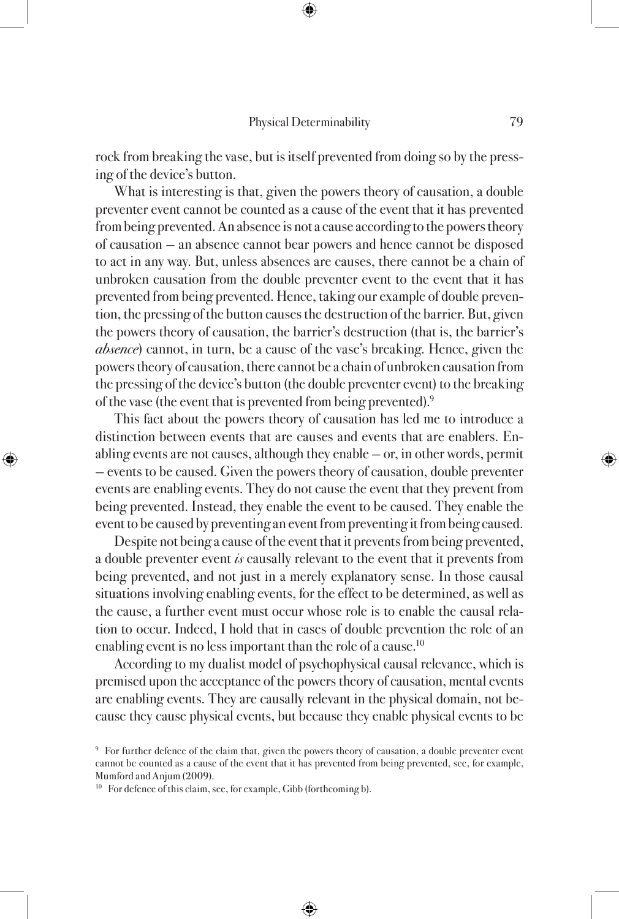rock from breaking the vase, but is itself prevented from doing so by the pressing of the device's button.

What is interesting is that, given the powers theory of causation, a double preventer event cannot be counted as a cause of the event that it has prevented from being prevented. An absence is not a cause according to the powers theory of causation — an absence cannot bear powers and hence cannot be disposed to act in any way. But, unless absences are causes, there cannot be a chain of unbroken causation from the double preventer event to the event that it has prevented from being prevented. Hence, taking our example of double prevention, the pressing of the button causes the destruction of the barrier. But, given the powers theory of causation, the barrier's destruction (that is, the barrier's *absence*) cannot, in turn, be a cause of the vase's breaking. Hence, given the powers theory of causation, there cannot be a chain of unbroken causation from the pressing of the device's button (the double preventer event) to the breaking of the vase (the event that is prevented from being prevented).9

This fact about the powers theory of causation has led me to introduce a distinction between events that are causes and events that are enablers. Enabling events are not causes, although they enable — or, in other words, permit — events to be caused. Given the powers theory of causation, double preventer events are enabling events. They do not cause the event that they prevent from being prevented. Instead, they enable the event to be caused. They enable the event to be caused by preventing an event from preventing it from being caused.

Despite not being a cause of the event that it prevents from being prevented, a double preventer event is causally relevant to the event that it prevents from being prevented, and not just in a merely explanatory sense. In those causal situations involving enabling events, for the effect to be determined, as well as the cause, a further event must occur whose role is to enable the causal relation to occur. Indeed, I hold that in cases of double prevention the role of an enabling event is no less important than the role of a cause.<sup>10</sup>

According to my dualist model of psychophysical causal relevance, which is premised upon the acceptance of the powers theory of causation, mental events are enabling events. They are causally relevant in the physical domain, not because they cause physical events, but because they enable physical events to be

<sup>9</sup> For further defence of the claim that, given the powers theory of causation, a double preventer event cannot be counted as a cause of the event that it has prevented from being prevented, see, for example, Mumford and Anjum (2009).

<sup>&</sup>lt;sup>10</sup> For defence of this claim, see, for example, Gibb (forthcoming b).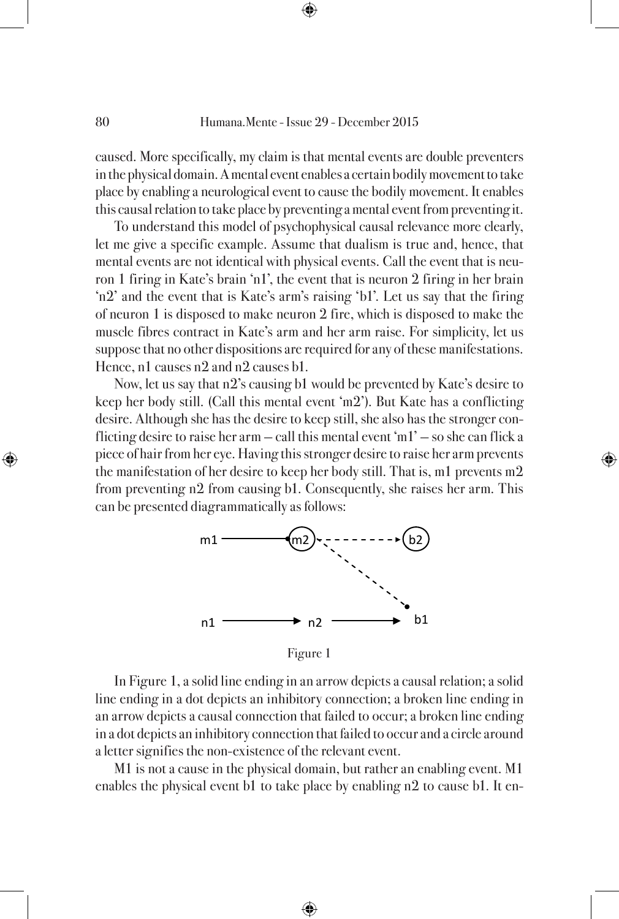caused. More specifically, my claim is that mental events are double preventers in the physical domain. A mental event enables a certain bodily movement to take place by enabling a neurological event to cause the bodily movement. It enables this causal relation to take place by preventing a mental event from preventing it.

To understand this model of psychophysical causal relevance more clearly, let me give a specific example. Assume that dualism is true and, hence, that mental events are not identical with physical events. Call the event that is neuron 1 firing in Kate's brain 'n1', the event that is neuron 2 firing in her brain 'n2' and the event that is Kate's arm's raising 'b1'. Let us say that the firing of neuron 1 is disposed to make neuron 2 fire, which is disposed to make the muscle fibres contract in Kate's arm and her arm raise. For simplicity, let us suppose that no other dispositions are required for any of these manifestations. Hence, n1 causes n2 and n2 causes b1.

Now, let us say that n2's causing b1 would be prevented by Kate's desire to keep her body still. (Call this mental event 'm2'). But Kate has a conflicting desire. Although she has the desire to keep still, she also has the stronger conflicting desire to raise her arm  $-$  call this mental event 'm1'  $-$  so she can flick a piece of hair from her eye. Having this stronger desire to raise her arm prevents the manifestation of her desire to keep her body still. That is, m1 prevents m2 from preventing n2 from causing b1. Consequently, she raises her arm. This can be presented diagrammatically as follows:



Figure 1

In Figure 1, a solid line ending in an arrow depicts a causal relation; a solid line ending in a dot depicts an inhibitory connection; a broken line ending in an arrow depicts a causal connection that failed to occur; a broken line ending in a dot depicts an inhibitory connection that failed to occur and a circle around a letter signifies the non-existence of the relevant event.

M1 is not a cause in the physical domain, but rather an enabling event. M1 enables the physical event b1 to take place by enabling n2 to cause b1. It en-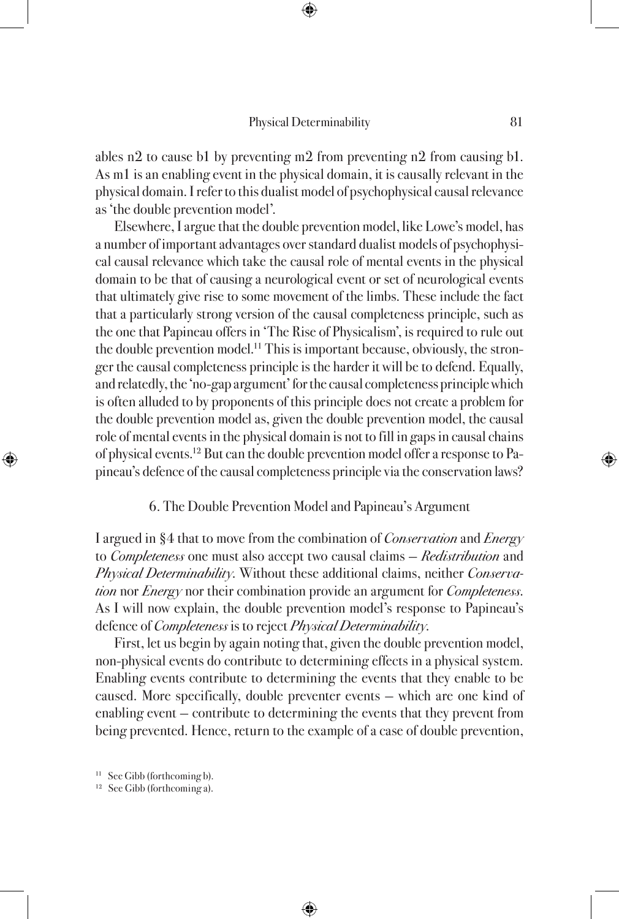ables n2 to cause b1 by preventing m2 from preventing n2 from causing b1. As m1 is an enabling event in the physical domain, it is causally relevant in the physical domain. I refer to this dualist model of psychophysical causal relevance as 'the double prevention model'.

Elsewhere, I argue that the double prevention model, like Lowe's model, has a number of important advantages over standard dualist models of psychophysical causal relevance which take the causal role of mental events in the physical domain to be that of causing a neurological event or set of neurological events that ultimately give rise to some movement of the limbs. These include the fact that a particularly strong version of the causal completeness principle, such as the one that Papineau offers in 'The Rise of Physicalism', is required to rule out the double prevention model.<sup>11</sup> This is important because, obviously, the stronger the causal completeness principle is the harder it will be to defend. Equally, and relatedly, the 'no-gap argument' for the causal completeness principle which is often alluded to by proponents of this principle does not create a problem for the double prevention model as, given the double prevention model, the causal role of mental events in the physical domain is not to fill in gaps in causal chains of physical events.12 But can the double prevention model offer a response to Papineau's defence of the causal completeness principle via the conservation laws?

#### 6. The Double Prevention Model and Papineau's Argument

I argued in §4 that to move from the combination of *Conservation* and *Energy* to *Completeness* one must also accept two causal claims – *Redistribution* and Physical Determinability. Without these additional claims, neither Conservation nor *Energy* nor their combination provide an argument for *Completeness*. As I will now explain, the double prevention model's response to Papineau's defence of *Completeness* is to reject *Physical Determinability*.

First, let us begin by again noting that, given the double prevention model, non-physical events do contribute to determining effects in a physical system. Enabling events contribute to determining the events that they enable to be caused. More specifically, double preventer events — which are one kind of enabling event — contribute to determining the events that they prevent from being prevented. Hence, return to the example of a case of double prevention,

<sup>11</sup> See Gibb (forthcoming b).

<sup>12</sup> See Gibb (forthcoming a).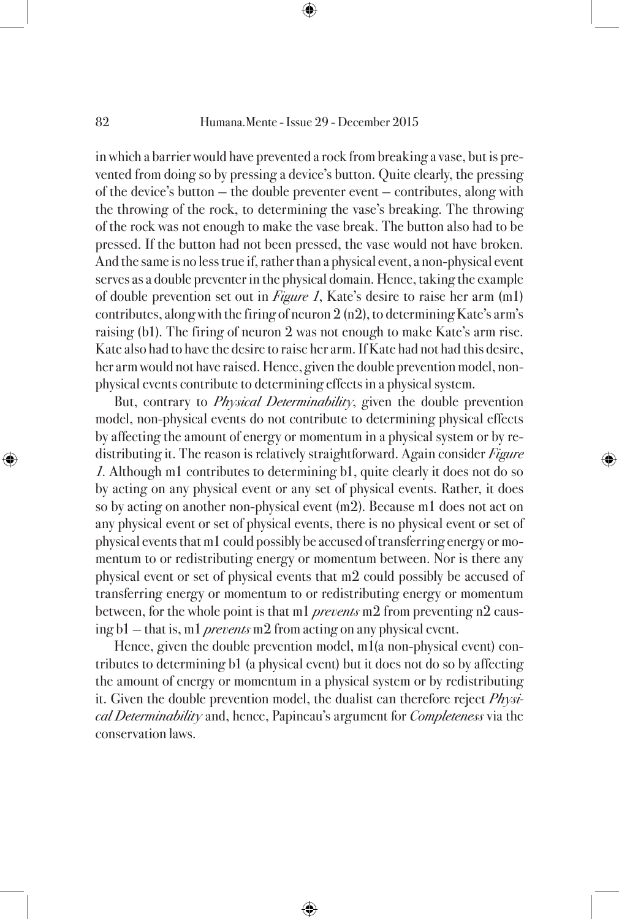in which a barrier would have prevented a rock from breaking a vase, but is prevented from doing so by pressing a device's button. Quite clearly, the pressing of the device's button — the double preventer event — contributes, along with the throwing of the rock, to determining the vase's breaking. The throwing of the rock was not enough to make the vase break. The button also had to be pressed. If the button had not been pressed, the vase would not have broken. And the same is no less true if, rather than a physical event, a non-physical event serves as a double preventer in the physical domain. Hence, taking the example of double prevention set out in *Figure 1*, Kate's desire to raise her arm  $(m1)$ contributes, along with the firing of neuron 2 (n2), to determining Kate's arm's raising (b1). The firing of neuron 2 was not enough to make Kate's arm rise. Kate also had to have the desire to raise her arm. If Kate had not had this desire, her arm would not have raised. Hence, given the double prevention model, nonphysical events contribute to determining effects in a physical system.

But, contrary to *Physical Determinability*, given the double prevention model, non-physical events do not contribute to determining physical effects by affecting the amount of energy or momentum in a physical system or by redistributing it. The reason is relatively straightforward. Again consider *Figure* 1. Although m1 contributes to determining b1, quite clearly it does not do so by acting on any physical event or any set of physical events. Rather, it does so by acting on another non-physical event (m2). Because m1 does not act on any physical event or set of physical events, there is no physical event or set of physical events that m1 could possibly be accused of transferring energy or momentum to or redistributing energy or momentum between. Nor is there any physical event or set of physical events that m2 could possibly be accused of transferring energy or momentum to or redistributing energy or momentum between, for the whole point is that m1 *prevents* m2 from preventing n2 causing b1 – that is, m1 *prevents* m2 from acting on any physical event.

Hence, given the double prevention model, m1(a non-physical event) contributes to determining b1 (a physical event) but it does not do so by affecting the amount of energy or momentum in a physical system or by redistributing it. Given the double prevention model, the dualist can therefore reject Physical Determinability and, hence, Papineau's argument for *Completeness* via the conservation laws.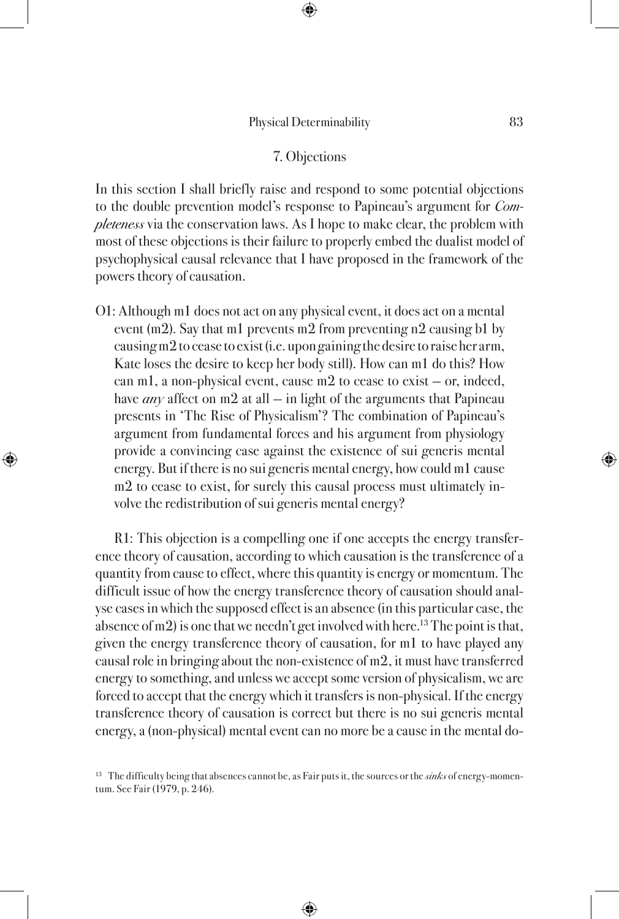## 7. Objections

In this section I shall briefly raise and respond to some potential objections to the double prevention model's response to Papineau's argument for Completeness via the conservation laws. As I hope to make clear, the problem with most of these objections is their failure to properly embed the dualist model of psychophysical causal relevance that I have proposed in the framework of the powers theory of causation.

O1: Although m1 does not act on any physical event, it does act on a mental event (m2). Say that m1 prevents m2 from preventing n2 causing b1 by causing m2 to cease to exist (i.e. upon gaining the desire to raise her arm, Kate loses the desire to keep her body still). How can m1 do this? How can m1, a non-physical event, cause m2 to cease to exist — or, indeed, have *any* affect on m2 at all  $-$  in light of the arguments that Papineau presents in 'The Rise of Physicalism'? The combination of Papineau's argument from fundamental forces and his argument from physiology provide a convincing case against the existence of sui generis mental energy. But if there is no sui generis mental energy, how could m1 cause m2 to cease to exist, for surely this causal process must ultimately involve the redistribution of sui generis mental energy?

R1: This objection is a compelling one if one accepts the energy transference theory of causation, according to which causation is the transference of a quantity from cause to effect, where this quantity is energy or momentum. The difficult issue of how the energy transference theory of causation should analyse cases in which the supposed effect is an absence (in this particular case, the absence of m2) is one that we needn't get involved with here.<sup>13</sup> The point is that, given the energy transference theory of causation, for m1 to have played any causal role in bringing about the non-existence of m2, it must have transferred energy to something, and unless we accept some version of physicalism, we are forced to accept that the energy which it transfers is non-physical. If the energy transference theory of causation is correct but there is no sui generis mental energy, a (non-physical) mental event can no more be a cause in the mental do-

<sup>&</sup>lt;sup>13</sup> The difficulty being that absences cannot be, as Fair puts it, the sources or the  $sinks$  of energy-momentum. See Fair (1979, p. 246).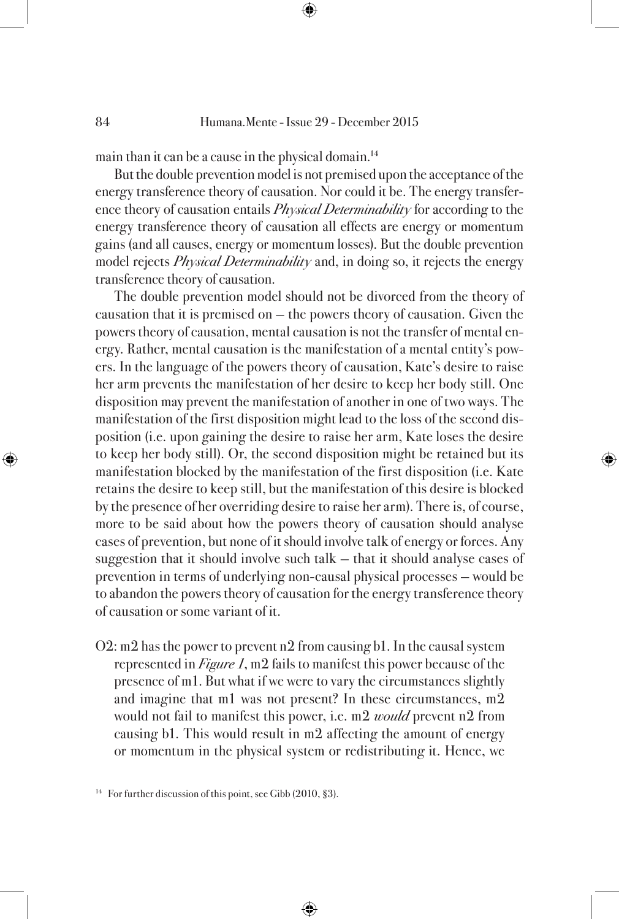main than it can be a cause in the physical domain.14

But the double prevention model is not premised upon the acceptance of the energy transference theory of causation. Nor could it be. The energy transference theory of causation entails *Physical Determinability* for according to the energy transference theory of causation all effects are energy or momentum gains (and all causes, energy or momentum losses). But the double prevention model rejects *Physical Determinability* and, in doing so, it rejects the energy transference theory of causation.

The double prevention model should not be divorced from the theory of causation that it is premised on — the powers theory of causation. Given the powers theory of causation, mental causation is not the transfer of mental energy. Rather, mental causation is the manifestation of a mental entity's powers. In the language of the powers theory of causation, Kate's desire to raise her arm prevents the manifestation of her desire to keep her body still. One disposition may prevent the manifestation of another in one of two ways. The manifestation of the first disposition might lead to the loss of the second disposition (i.e. upon gaining the desire to raise her arm, Kate loses the desire to keep her body still). Or, the second disposition might be retained but its manifestation blocked by the manifestation of the first disposition (i.e. Kate retains the desire to keep still, but the manifestation of this desire is blocked by the presence of her overriding desire to raise her arm). There is, of course, more to be said about how the powers theory of causation should analyse cases of prevention, but none of it should involve talk of energy or forces. Any suggestion that it should involve such talk — that it should analyse cases of prevention in terms of underlying non-causal physical processes — would be to abandon the powers theory of causation for the energy transference theory of causation or some variant of it.

O2: m2 has the power to prevent n2 from causing b1. In the causal system represented in Figure 1, m2 fails to manifest this power because of the presence of m1. But what if we were to vary the circumstances slightly and imagine that m1 was not present? In these circumstances, m2 would not fail to manifest this power, i.e. m2 *would* prevent n2 from causing b1. This would result in m2 affecting the amount of energy or momentum in the physical system or redistributing it. Hence, we

<sup>&</sup>lt;sup>14</sup> For further discussion of this point, see Gibb (2010, §3).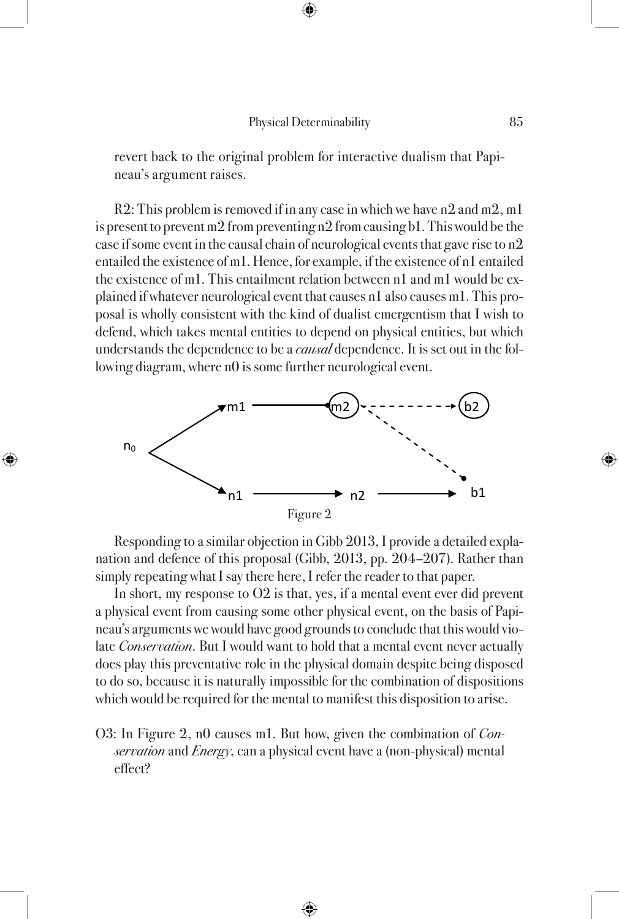revert back to the original problem for interactive dualism that Papineau's argument raises.

R2: This problem is removed if in any case in which we have n2 and m2, m1 is present to prevent m2 from preventing n2 from causing b1. This would be the case if some event in the causal chain of neurological events that gave rise to n2 entailed the existence of m1. Hence, for example, if the existence of n1 entailed the existence of m1. This entailment relation between n1 and m1 would be explained if whatever neurological event that causes n1 also causes m1. This proposal is wholly consistent with the kind of dualist emergentism that I wish to defend, which takes mental entities to depend on physical entities, but which understands the dependence to be a *causal* dependence. It is set out in the following diagram, where n0 is some further neurological event.



Responding to a similar objection in Gibb 2013, I provide a detailed explanation and defence of this proposal (Gibb, 2013, pp. 204–207). Rather than simply repeating what I say there here, I refer the reader to that paper.

In short, my response to O2 is that, yes, if a mental event ever did prevent a physical event from causing some other physical event, on the basis of Papineau's arguments we would have good grounds to conclude that this would violate *Conservation*. But I would want to hold that a mental event never actually does play this preventative role in the physical domain despite being disposed to do so, because it is naturally impossible for the combination of dispositions which would be required for the mental to manifest this disposition to arise.

O3: In Figure 2, n0 causes m1. But how, given the combination of *Con*servation and Energy, can a physical event have a (non-physical) mental effect?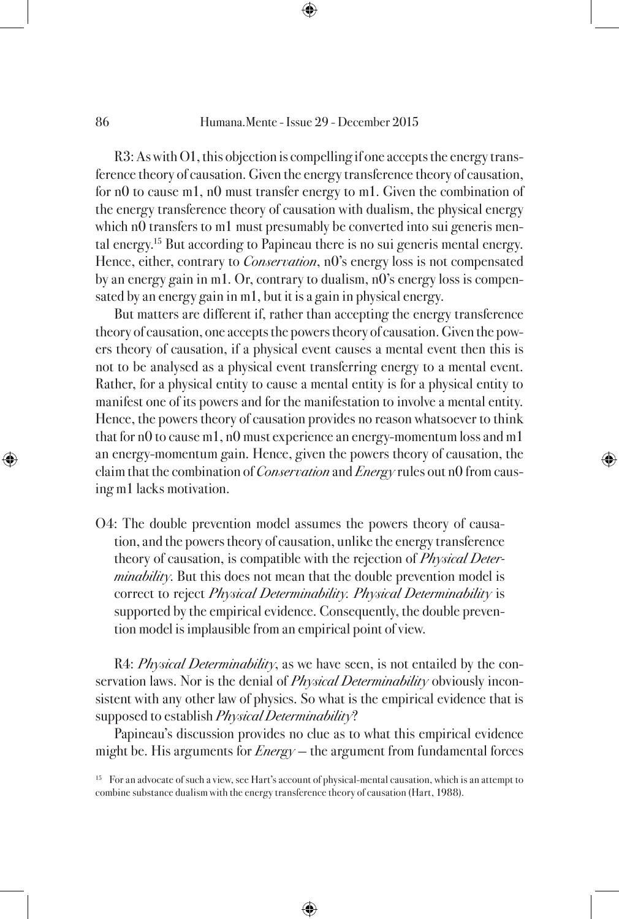R3: As with O1, this objection is compelling if one accepts the energy transference theory of causation. Given the energy transference theory of causation, for n0 to cause m1, n0 must transfer energy to m1. Given the combination of the energy transference theory of causation with dualism, the physical energy which n0 transfers to m1 must presumably be converted into sui generis mental energy.15 But according to Papineau there is no sui generis mental energy. Hence, either, contrary to *Conservation*, n<sub>0</sub>'s energy loss is not compensated by an energy gain in m1. Or, contrary to dualism, n0's energy loss is compensated by an energy gain in m1, but it is a gain in physical energy.

But matters are different if, rather than accepting the energy transference theory of causation, one accepts the powers theory of causation. Given the powers theory of causation, if a physical event causes a mental event then this is not to be analysed as a physical event transferring energy to a mental event. Rather, for a physical entity to cause a mental entity is for a physical entity to manifest one of its powers and for the manifestation to involve a mental entity. Hence, the powers theory of causation provides no reason whatsoever to think that for n0 to cause m1, n0 must experience an energy-momentum loss and m1 an energy-momentum gain. Hence, given the powers theory of causation, the claim that the combination of *Conservation* and *Energy* rules out n0 from causing m1 lacks motivation.

O4: The double prevention model assumes the powers theory of causation, and the powers theory of causation, unlike the energy transference theory of causation, is compatible with the rejection of *Physical Deter* $minability$ . But this does not mean that the double prevention model is correct to reject Physical Determinability. Physical Determinability is supported by the empirical evidence. Consequently, the double prevention model is implausible from an empirical point of view.

R4: *Physical Determinability*, as we have seen, is not entailed by the conservation laws. Nor is the denial of *Physical Determinability* obviously inconsistent with any other law of physics. So what is the empirical evidence that is supposed to establish *Physical Determinability*?

Papineau's discussion provides no clue as to what this empirical evidence might be. His arguments for  $Energy$  – the argument from fundamental forces

<sup>&</sup>lt;sup>15</sup> For an advocate of such a view, see Hart's account of physical-mental causation, which is an attempt to combine substance dualism with the energy transference theory of causation (Hart, 1988).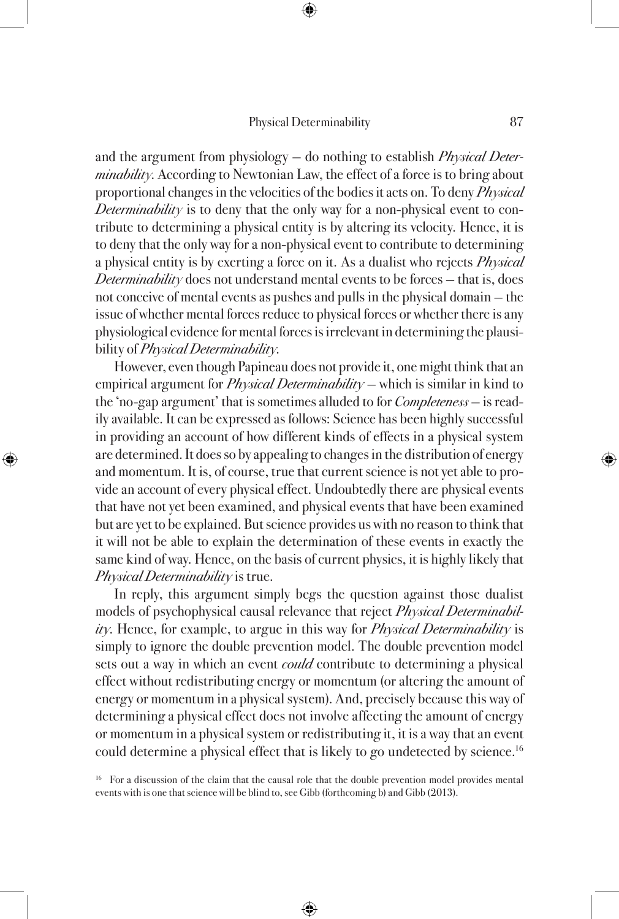and the argument from physiology – do nothing to establish *Physical Determinability*. According to Newtonian Law, the effect of a force is to bring about proportional changes in the velocities of the bodies it acts on. To deny *Physical* Determinability is to deny that the only way for a non-physical event to contribute to determining a physical entity is by altering its velocity. Hence, it is to deny that the only way for a non-physical event to contribute to determining a physical entity is by exerting a force on it. As a dualist who rejects *Physical* Determinability does not understand mental events to be forces  $-$  that is, does not conceive of mental events as pushes and pulls in the physical domain — the issue of whether mental forces reduce to physical forces or whether there is any physiological evidence for mental forces is irrelevant in determining the plausibility of *Physical Determinability*.

However, even though Papineau does not provide it, one might think that an empirical argument for *Physical Determinability* – which is similar in kind to the 'no-gap argument' that is sometimes alluded to for Completeness — is readily available. It can be expressed as follows: Science has been highly successful in providing an account of how different kinds of effects in a physical system are determined. It does so by appealing to changes in the distribution of energy and momentum. It is, of course, true that current science is not yet able to provide an account of every physical effect. Undoubtedly there are physical events that have not yet been examined, and physical events that have been examined but are yet to be explained. But science provides us with no reason to think that it will not be able to explain the determination of these events in exactly the same kind of way. Hence, on the basis of current physics, it is highly likely that Physical Determinability is true.

In reply, this argument simply begs the question against those dualist models of psychophysical causal relevance that reject Physical Determinabil $ity$ . Hence, for example, to argue in this way for *Physical Determinability* is simply to ignore the double prevention model. The double prevention model sets out a way in which an event *could* contribute to determining a physical effect without redistributing energy or momentum (or altering the amount of energy or momentum in a physical system). And, precisely because this way of determining a physical effect does not involve affecting the amount of energy or momentum in a physical system or redistributing it, it is a way that an event could determine a physical effect that is likely to go undetected by science.<sup>16</sup>

<sup>16</sup> For a discussion of the claim that the causal role that the double prevention model provides mental events with is one that science will be blind to, see Gibb (forthcoming b) and Gibb (2013).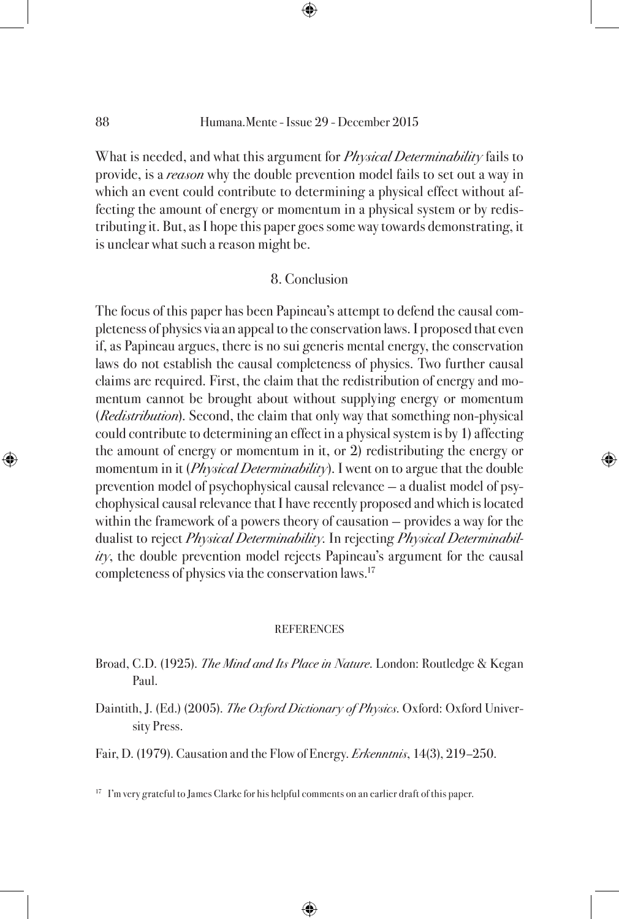What is needed, and what this argument for *Physical Determinability* fails to provide, is a *reason* why the double prevention model fails to set out a way in which an event could contribute to determining a physical effect without affecting the amount of energy or momentum in a physical system or by redistributing it. But, as I hope this paper goes some way towards demonstrating, it is unclear what such a reason might be.

## 8. Conclusion

The focus of this paper has been Papineau's attempt to defend the causal completeness of physics via an appeal to the conservation laws. I proposed that even if, as Papineau argues, there is no sui generis mental energy, the conservation laws do not establish the causal completeness of physics. Two further causal claims are required. First, the claim that the redistribution of energy and momentum cannot be brought about without supplying energy or momentum (Redistribution). Second, the claim that only way that something non-physical could contribute to determining an effect in a physical system is by 1) affecting the amount of energy or momentum in it, or 2) redistributing the energy or momentum in it (*Physical Determinability*). I went on to argue that the double prevention model of psychophysical causal relevance — a dualist model of psychophysical causal relevance that I have recently proposed and which is located within the framework of a powers theory of causation — provides a way for the dualist to reject Physical Determinability. In rejecting Physical Determinabil $ity$ , the double prevention model rejects Papineau's argument for the causal completeness of physics via the conservation laws.<sup>17</sup>

#### **REFERENCES**

- Broad, C.D. (1925). The Mind and Its Place in Nature. London: Routledge & Kegan Paul.
- Daintith, J. (Ed.) (2005). The Oxford Dictionary of Physics. Oxford: Oxford University Press.

Fair, D. (1979). Causation and the Flow of Energy. *Erkenntnis*, 14(3), 219–250.

<sup>17</sup> I'm very grateful to James Clarke for his helpful comments on an earlier draft of this paper.